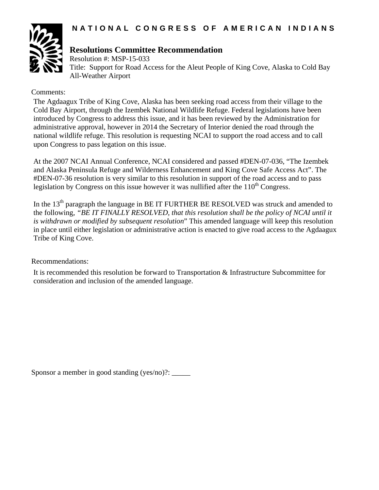

# **Resolutions Committee Recommendation**

Resolution #: MSP-15-033 Title: Support for Road Access for the Aleut People of King Cove, Alaska to Cold Bay All-Weather Airport

# Comments:

The Agdaagux Tribe of King Cove, Alaska has been seeking road access from their village to the Cold Bay Airport, through the Izembek National Wildlife Refuge. Federal legislations have been introduced by Congress to address this issue, and it has been reviewed by the Administration for administrative approval, however in 2014 the Secretary of Interior denied the road through the national wildlife refuge. This resolution is requesting NCAI to support the road access and to call upon Congress to pass legation on this issue.

At the 2007 NCAI Annual Conference, NCAI considered and passed #DEN-07-036, "The Izembek and Alaska Peninsula Refuge and Wilderness Enhancement and King Cove Safe Access Act". The #DEN-07-36 resolution is very similar to this resolution in support of the road access and to pass legislation by Congress on this issue however it was nullified after the  $110<sup>th</sup>$  Congress.

In the  $13<sup>th</sup>$  paragraph the language in BE IT FURTHER BE RESOLVED was struck and amended to the following, *"BE IT FINALLY RESOLVED, that this resolution shall be the policy of NCAI until it is withdrawn or modified by subsequent resolution*" This amended language will keep this resolution in place until either legislation or administrative action is enacted to give road access to the Agdaagux Tribe of King Cove.

Recommendations:

It is recommended this resolution be forward to Transportation & Infrastructure Subcommittee for consideration and inclusion of the amended language.

Sponsor a member in good standing (yes/no)?: \_\_\_\_\_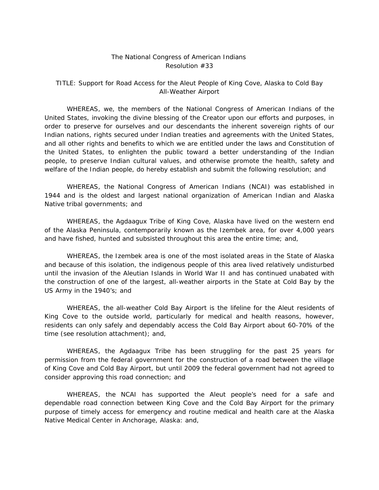### The National Congress of American Indians Resolution #33

## TITLE: Support for Road Access for the Aleut People of King Cove, Alaska to Cold Bay All-Weather Airport

 WHEREAS, we, the members of the National Congress of American Indians of the United States, invoking the divine blessing of the Creator upon our efforts and purposes, in order to preserve for ourselves and our descendants the inherent sovereign rights of our Indian nations, rights secured under Indian treaties and agreements with the United States, and all other rights and benefits to which we are entitled under the laws and Constitution of the United States, to enlighten the public toward a better understanding of the Indian people, to preserve Indian cultural values, and otherwise promote the health, safety and welfare of the Indian people, do hereby establish and submit the following resolution; and

 WHEREAS, the National Congress of American Indians (NCAI) was established in 1944 and is the oldest and largest national organization of American Indian and Alaska Native tribal governments; and

 WHEREAS, the Agdaagux Tribe of King Cove, Alaska have lived on the western end of the Alaska Peninsula, contemporarily known as the Izembek area, for over 4,000 years and have fished, hunted and subsisted throughout this area the entire time; and,

 WHEREAS, the Izembek area is one of the most isolated areas in the State of Alaska and because of this isolation, the indigenous people of this area lived relatively undisturbed until the invasion of the Aleutian Islands in World War II and has continued unabated with the construction of one of the largest, all-weather airports in the State at Cold Bay by the US Army in the 1940's; and

 WHEREAS, the all-weather Cold Bay Airport is the lifeline for the Aleut residents of King Cove to the outside world, particularly for medical and health reasons, however, residents can only safely and dependably access the Cold Bay Airport about 60-70% of the time (see resolution attachment); and,

 WHEREAS, the Agdaagux Tribe has been struggling for the past 25 years for permission from the federal government for the construction of a road between the village of King Cove and Cold Bay Airport, but until 2009 the federal government had not agreed to consider approving this road connection; and

 WHEREAS, the NCAI has supported the Aleut people's need for a safe and dependable road connection between King Cove and the Cold Bay Airport for the primary purpose of timely access for emergency and routine medical and health care at the Alaska Native Medical Center in Anchorage, Alaska: and,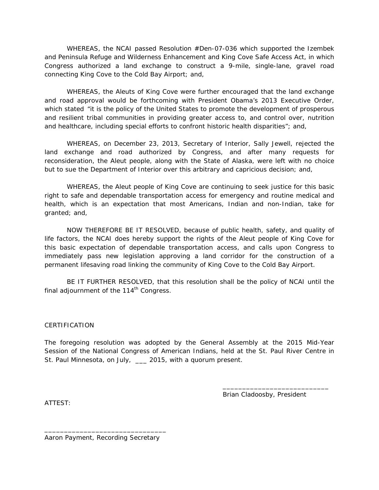WHEREAS, the NCAI passed Resolution #Den-07-036 which supported the *Izembek and Peninsula Refuge and Wilderness Enhancement and King Cove Safe Access Act,* in which Congress authorized a land exchange to construct a 9-mile, single-lane, gravel road connecting King Cove to the Cold Bay Airport; and,

 WHEREAS, the Aleuts of King Cove were further encouraged that the land exchange and road approval would be forthcoming with President Obama's 2013 Executive Order, which stated "it is the policy of the United States to promote the development of prosperous and resilient tribal communities in providing greater access to, and control over, nutrition and healthcare, including special efforts to confront historic health disparities"; and,

 WHEREAS, on December 23, 2013, Secretary of Interior, Sally Jewell, rejected the land exchange and road authorized by Congress, and after many requests for reconsideration, the Aleut people, along with the State of Alaska, were left with no choice but to sue the Department of Interior over this arbitrary and capricious decision; and,

 WHEREAS, the Aleut people of King Cove are continuing to seek justice for this basic right to safe and dependable transportation access for emergency and routine medical and health, which is an expectation that most Americans, Indian and non-Indian, take for granted; and,

 NOW THEREFORE BE IT RESOLVED, because of public health, safety, and quality of life factors, the NCAI does hereby support the rights of the Aleut people of King Cove for this basic expectation of dependable transportation access, and calls upon Congress to immediately pass new legislation approving a land corridor for the construction of a permanent lifesaving road linking the community of King Cove to the Cold Bay Airport.

 BE IT FURTHER RESOLVED, that this resolution shall be the policy of NCAI until the final adjournment of the  $114<sup>th</sup>$  Congress.

#### **CERTIFICATION**

The foregoing resolution was adopted by the General Assembly at the 2015 Mid-Year Session of the National Congress of American Indians, held at the St. Paul River Centre in St. Paul Minnesota, on July, \_\_\_ 2015, with a quorum present.

 $\overline{\phantom{a}}$  , and the contract of the contract of the contract of the contract of the contract of the contract of the contract of the contract of the contract of the contract of the contract of the contract of the contrac

Brian Cladoosby, President

ATTEST:

\_\_\_\_\_\_\_\_\_\_\_\_\_\_\_\_\_\_\_\_\_\_\_\_\_\_\_\_\_\_\_ Aaron Payment, Recording Secretary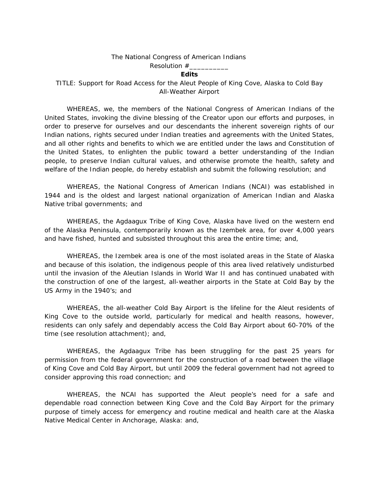#### The National Congress of American Indians

#### Resolution  $#_$

#### **Edits**

TITLE: Support for Road Access for the Aleut People of King Cove, Alaska to Cold Bay All-Weather Airport

 WHEREAS, we, the members of the National Congress of American Indians of the United States, invoking the divine blessing of the Creator upon our efforts and purposes, in order to preserve for ourselves and our descendants the inherent sovereign rights of our Indian nations, rights secured under Indian treaties and agreements with the United States, and all other rights and benefits to which we are entitled under the laws and Constitution of the United States, to enlighten the public toward a better understanding of the Indian people, to preserve Indian cultural values, and otherwise promote the health, safety and welfare of the Indian people, do hereby establish and submit the following resolution; and

 WHEREAS, the National Congress of American Indians (NCAI) was established in 1944 and is the oldest and largest national organization of American Indian and Alaska Native tribal governments; and

 WHEREAS, the Agdaagux Tribe of King Cove, Alaska have lived on the western end of the Alaska Peninsula, contemporarily known as the Izembek area, for over 4,000 years and have fished, hunted and subsisted throughout this area the entire time; and,

 WHEREAS, the Izembek area is one of the most isolated areas in the State of Alaska and because of this isolation, the indigenous people of this area lived relatively undisturbed until the invasion of the Aleutian Islands in World War II and has continued unabated with the construction of one of the largest, all-weather airports in the State at Cold Bay by the US Army in the 1940's; and

 WHEREAS, the all-weather Cold Bay Airport is the lifeline for the Aleut residents of King Cove to the outside world, particularly for medical and health reasons, however, residents can only safely and dependably access the Cold Bay Airport about 60-70% of the time (see resolution attachment); and,

 WHEREAS, the Agdaagux Tribe has been struggling for the past 25 years for permission from the federal government for the construction of a road between the village of King Cove and Cold Bay Airport, but until 2009 the federal government had not agreed to consider approving this road connection; and

 WHEREAS, the NCAI has supported the Aleut people's need for a safe and dependable road connection between King Cove and the Cold Bay Airport for the primary purpose of timely access for emergency and routine medical and health care at the Alaska Native Medical Center in Anchorage, Alaska: and,